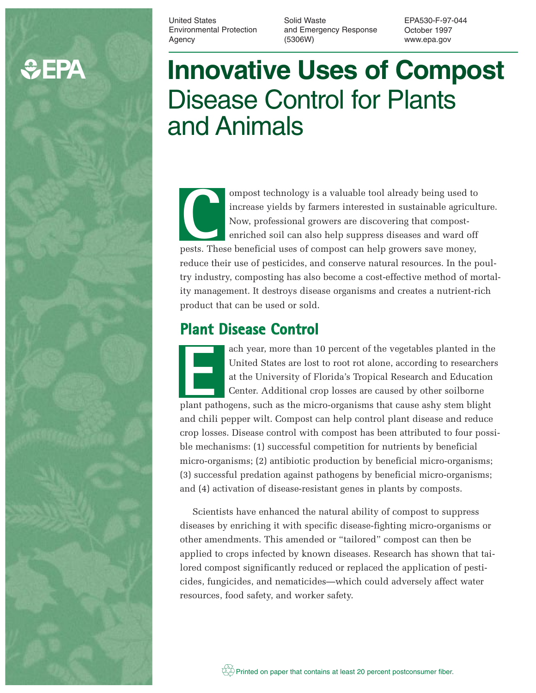# **CHEPA**

United States Environmental Protection Agency

Solid Waste and Emergency Response (5306W)

EPA530-F-97-044 October 1997 www.epa.gov

# **Innovative Uses of Compost** Disease Control for Plants and Animals

ompost technology is a valuable tool already being used to increase yields by farmers interested in sustainable agriculture. Now, professional growers are discovering that compostenriched soil can also help suppress diseases and ward off personal growers are discovering that composters. These beneficial uses of compost can help growers save money, reduce their use of pesticides, and conserve natural resources. In the poultry industry, composting has also become a cost-effective method of mortality management. It destroys disease organisms and creates a nutrient-rich product that can be used or sold.

# **Plant Disease Control**

ach year, more than 10 percent of the vegetables planted in the United States are lost to root rot alone, according to researchers at the University of Florida's Tropical Research and Education Center. Additional crop losses are caused by other soilborne ach year, more than 10 percent of the vegetables planted in th<br>United States are lost to root rot alone, according to researche<br>at the University of Florida's Tropical Research and Education<br>Center. Additional crop losses and chili pepper wilt. Compost can help control plant disease and reduce crop losses. Disease control with compost has been attributed to four possible mechanisms: (1) successful competition for nutrients by beneficial micro-organisms; (2) antibiotic production by beneficial micro-organisms; (3) successful predation against pathogens by beneficial micro-organisms; and (4) activation of disease-resistant genes in plants by composts.

Scientists have enhanced the natural ability of compost to suppress diseases by enriching it with specific disease-fighting micro-organisms or other amendments. This amended or "tailored" compost can then be applied to crops infected by known diseases. Research has shown that tailored compost significantly reduced or replaced the application of pesticides, fungicides, and nematicides—which could adversely affect water resources, food safety, and worker safety.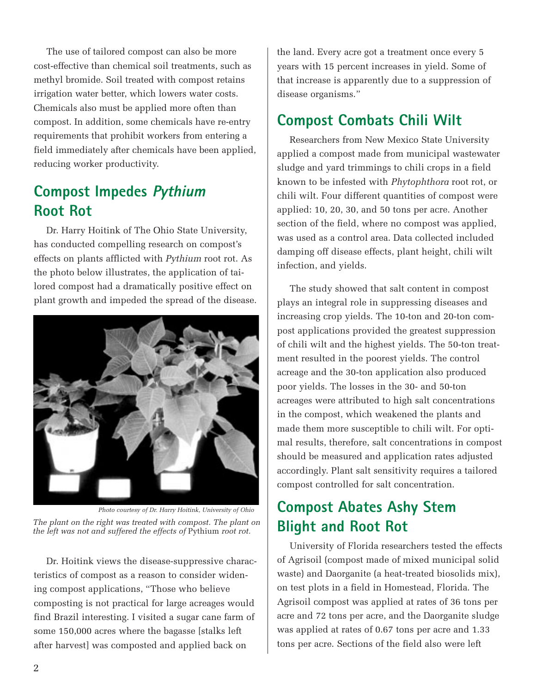The use of tailored compost can also be more cost-effective than chemical soil treatments, such as methyl bromide. Soil treated with compost retains irrigation water better, which lowers water costs. Chemicals also must be applied more often than compost. In addition, some chemicals have re-entry requirements that prohibit workers from entering a field immediately after chemicals have been applied, reducing worker productivity.

### **Compost Impedes Pythium Root Rot**

Dr. Harry Hoitink of The Ohio State University, has conducted compelling research on compost's effects on plants afflicted with *Pythium* root rot. As the photo below illustrates, the application of tailored compost had a dramatically positive effect on plant growth and impeded the spread of the disease.



*Photo courtesy of Dr. Harry Hoitink, University of Ohio The plant on the right was treated with compost. The plant on the left was not and suffered the effects of* Pythium *root rot.*

Dr. Hoitink views the disease-suppressive characteristics of compost as a reason to consider widening compost applications, "Those who believe composting is not practical for large acreages would find Brazil interesting. I visited a sugar cane farm of some 150,000 acres where the bagasse [stalks left after harvest] was composted and applied back on

the land. Every acre got a treatment once every 5 years with 15 percent increases in yield. Some of that increase is apparently due to a suppression of disease organisms."

## **Compost Combats Chili Wilt**

Researchers from New Mexico State University applied a compost made from municipal wastewater sludge and yard trimmings to chili crops in a field known to be infested with *Phytophthora* root rot, or chili wilt. Four different quantities of compost were applied: 10, 20, 30, and 50 tons per acre. Another section of the field, where no compost was applied, was used as a control area. Data collected included damping off disease effects, plant height, chili wilt infection, and yields.

The study showed that salt content in compost plays an integral role in suppressing diseases and increasing crop yields. The 10-ton and 20-ton compost applications provided the greatest suppression of chili wilt and the highest yields. The 50-ton treatment resulted in the poorest yields. The control acreage and the 30-ton application also produced poor yields. The losses in the 30- and 50-ton acreages were attributed to high salt concentrations in the compost, which weakened the plants and made them more susceptible to chili wilt. For optimal results, therefore, salt concentrations in compost should be measured and application rates adjusted accordingly. Plant salt sensitivity requires a tailored compost controlled for salt concentration.

# **Compost Abates Ashy Stem Blight and Root Rot**

University of Florida researchers tested the effects of Agrisoil (compost made of mixed municipal solid waste) and Daorganite (a heat-treated biosolids mix), on test plots in a field in Homestead, Florida. The Agrisoil compost was applied at rates of 36 tons per acre and 72 tons per acre, and the Daorganite sludge was applied at rates of 0.67 tons per acre and 1.33 tons per acre. Sections of the field also were left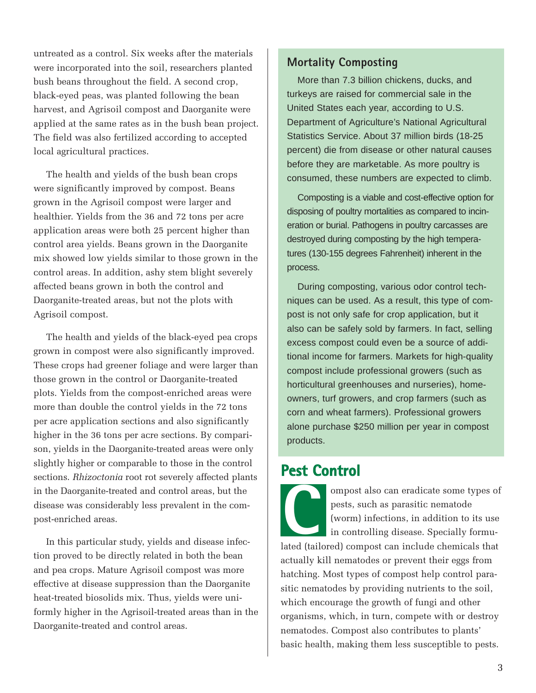untreated as a control. Six weeks after the materials were incorporated into the soil, researchers planted bush beans throughout the field. A second crop, black-eyed peas, was planted following the bean harvest, and Agrisoil compost and Daorganite were applied at the same rates as in the bush bean project. The field was also fertilized according to accepted local agricultural practices.

The health and yields of the bush bean crops were significantly improved by compost. Beans grown in the Agrisoil compost were larger and healthier. Yields from the 36 and 72 tons per acre application areas were both 25 percent higher than control area yields. Beans grown in the Daorganite mix showed low yields similar to those grown in the control areas. In addition, ashy stem blight severely affected beans grown in both the control and Daorganite-treated areas, but not the plots with Agrisoil compost.

The health and yields of the black-eyed pea crops grown in compost were also significantly improved. These crops had greener foliage and were larger than those grown in the control or Daorganite-treated plots. Yields from the compost-enriched areas were more than double the control yields in the 72 tons per acre application sections and also significantly higher in the 36 tons per acre sections. By comparison, yields in the Daorganite-treated areas were only slightly higher or comparable to those in the control sections. *Rhizoctonia* root rot severely affected plants in the Daorganite-treated and control areas, but the disease was considerably less prevalent in the compost-enriched areas.

In this particular study, yields and disease infection proved to be directly related in both the bean and pea crops. Mature Agrisoil compost was more effective at disease suppression than the Daorganite heat-treated biosolids mix. Thus, yields were uniformly higher in the Agrisoil-treated areas than in the Daorganite-treated and control areas.

#### **Mortality Composting**

More than 7.3 billion chickens, ducks, and turkeys are raised for commercial sale in the United States each year, according to U.S. Department of Agriculture's National Agricultural Statistics Service. About 37 million birds (18-25 percent) die from disease or other natural causes before they are marketable. As more poultry is consumed, these numbers are expected to climb.

Composting is a viable and cost-effective option for disposing of poultry mortalities as compared to incineration or burial. Pathogens in poultry carcasses are destroyed during composting by the high temperatures (130-155 degrees Fahrenheit) inherent in the process.

During composting, various odor control techniques can be used. As a result, this type of compost is not only safe for crop application, but it also can be safely sold by farmers. In fact, selling excess compost could even be a source of additional income for farmers. Markets for high-quality compost include professional growers (such as horticultural greenhouses and nurseries), homeowners, turf growers, and crop farmers (such as corn and wheat farmers). Professional growers alone purchase \$250 million per year in compost products.

### **Pest Control**

ompost also can eradicate some types of pests, such as parasitic nematode (worm) infections, in addition to its use in controlling disease. Specially formulated (tailored) compost can eradicate some types of pests, such as parasitic nematode (worm) infections, in addition to its use in controlling disease. Specially formulated (tailored) compost can include chemicals that actually kill nematodes or prevent their eggs from hatching. Most types of compost help control parasitic nematodes by providing nutrients to the soil, which encourage the growth of fungi and other organisms, which, in turn, compete with or destroy nematodes. Compost also contributes to plants' basic health, making them less susceptible to pests.